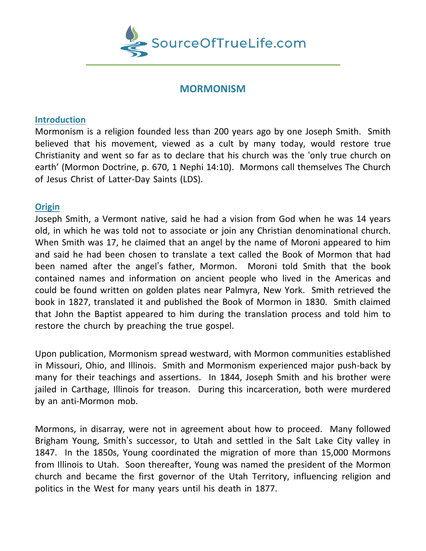

# **MORMONISM**

### **Introduction**

Mormonism is a religion founded less than 200 years ago by one Joseph Smith. Smith believed that his movement, viewed as a cult by many today, would restore true Christianity and went so far as to declare that his church was the 'only true church on earth' (Mormon Doctrine, p. 670, 1 Nephi 14:10). Mormons call themselves The Church of Jesus Christ of Latter-Day Saints (LDS).

## **Origin**

Joseph Smith, a Vermont native, said he had a vision from God when he was 14 years old, in which he was told not to associate or join any Christian denominational church. When Smith was 17, he claimed that an angel by the name of Moroni appeared to him and said he had been chosen to translate a text called the Book of Mormon that had been named after the angel's father, Mormon. Moroni told Smith that the book contained names and information on ancient people who lived in the Americas and could be found written on golden plates near Palmyra, New York. Smith retrieved the book in 1827, translated it and published the Book of Mormon in 1830. Smith claimed that John the Baptist appeared to him during the translation process and told him to restore the church by preaching the true gospel.

Upon publication, Mormonism spread westward, with Mormon communities established in Missouri, Ohio, and Illinois. Smith and Mormonism experienced major push-back by many for their teachings and assertions. In 1844, Joseph Smith and his brother were jailed in Carthage, Illinois for treason. During this incarceration, both were murdered by an anti-Mormon mob.

Mormons, in disarray, were not in agreement about how to proceed. Many followed Brigham Young, Smith's successor, to Utah and settled in the Salt Lake City valley in 1847. In the 1850s, Young coordinated the migration of more than 15,000 Mormons from Illinois to Utah. Soon thereafter, Young was named the president of the Mormon church and became the first governor of the Utah Territory, influencing religion and politics in the West for many years until his death in 1877.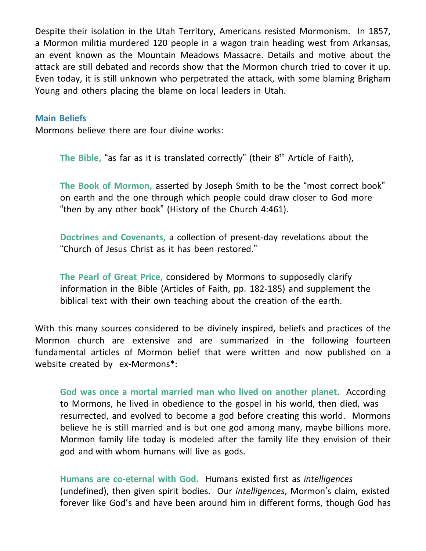Despite their isolation in the Utah Territory, Americans resisted Mormonism. In 1857, a Mormon militia murdered 120 people in a wagon train heading west from Arkansas, an event known as the Mountain Meadows Massacre. Details and motive about the attack are still debated and records show that the Mormon church tried to cover it up. Even today, it is still unknown who perpetrated the attack, with some blaming Brigham Young and others placing the blame on local leaders in Utah.

#### **Main Beliefs**

Mormons believe there are four divine works:

**The Bible,** "as far as it is translated correctly" (their 8 th Article of Faith),

**The Book of Mormon,** asserted by Joseph Smith to be the "most correct book" on earth and the one through which people could draw closer to God more "then by any other book" (History of the Church 4:461).

**Doctrines and Covenants,** a collection of present-day revelations about the "Church of Jesus Christ as it has been restored."

**The Pearl of Great Price,** considered by Mormons to supposedly clarify information in the Bible (Articles of Faith, pp. 182-185) and supplement the biblical text with their own teaching about the creation of the earth.

With this many sources considered to be divinely inspired, beliefs and practices of the Mormon church are extensive and are summarized in the following fourteen fundamental articles of Mormon belief that were written and now published on a website created by ex-Mormons\*:

**God was once a mortal married man who lived on another planet.** According to Mormons, he lived in obedience to the gospel in his world, then died, was resurrected, and evolved to become a god before creating this world. Mormons believe he is still married and is but one god among many, maybe billions more. Mormon family life today is modeled after the family life they envision of their god and with whom humans will live as gods.

**Humans are co-eternal with God.** Humans existed first as *intelligences* (undefined), then given spirit bodies. Our *intelligences*, Mormon's claim, existed forever like God's and have been around him in different forms, though God has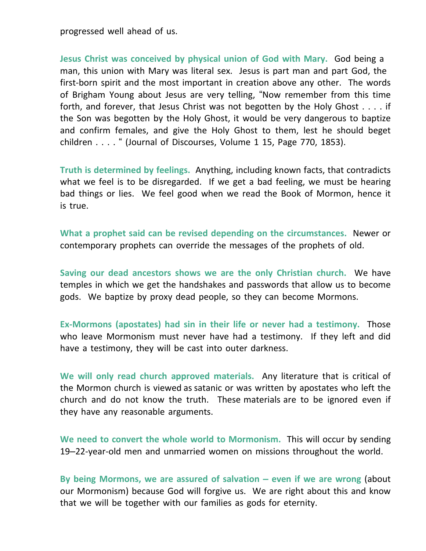progressed well ahead of us.

**Jesus Christ was conceived by physical union of God with Mary.** God being a man, this union with Mary was literal sex. Jesus is part man and part God, the first-born spirit and the most important in creation above any other. The words of Brigham Young about Jesus are very telling, "Now remember from this time forth, and forever, that Jesus Christ was not begotten by the Holy Ghost . . . . if the Son was begotten by the Holy Ghost, it would be very dangerous to baptize and confirm females, and give the Holy Ghost to them, lest he should beget children . . . . " (Journal of Discourses, Volume 1 15, Page 770, 1853).

**Truth is determined by feelings.** Anything, including known facts, that contradicts what we feel is to be disregarded. If we get a bad feeling, we must be hearing bad things or lies. We feel good when we read the Book of Mormon, hence it is true.

**What a prophet said can be revised depending on the circumstances.** Newer or contemporary prophets can override the messages of the prophets of old.

**Saving our dead ancestors shows we are the only Christian church.** We have temples in which we get the handshakes and passwords that allow us to become gods. We baptize by proxy dead people, so they can become Mormons.

**Ex-Mormons (apostates) had sin in their life or never had a testimony.** Those who leave Mormonism must never have had a testimony. If they left and did have a testimony, they will be cast into outer darkness.

**We will only read church approved materials.** Any literature that is critical of the Mormon church is viewed as satanic or was written by apostates who left the church and do not know the truth. These materials are to be ignored even if they have any reasonable arguments.

**We need to convert the whole world to Mormonism.** This will occur by sending 19–22-year-old men and unmarried women on missions throughout the world.

**By being Mormons, we are assured of salvation – even if we are wrong** (about our Mormonism) because God will forgive us. We are right about this and know that we will be together with our families as gods for eternity.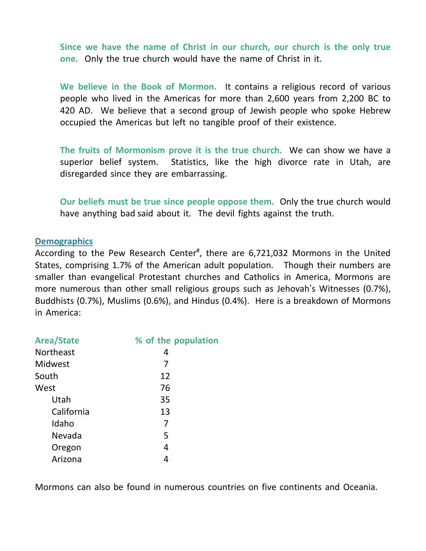**Since we have the name of Christ in our church, our church is the only true one.** Only the true church would have the name of Christ in it.

**We believe in the Book of Mormon.** It contains a religious record of various people who lived in the Americas for more than 2,600 years from 2,200 BC to 420 AD. We believe that a second group of Jewish people who spoke Hebrew occupied the Americas but left no tangible proof of their existence.

**The fruits of Mormonism prove it is the true church.** We can show we have a superior belief system. Statistics, like the high divorce rate in Utah, are disregarded since they are embarrassing.

**Our beliefs must be true since people oppose them.** Only the true church would have anything bad said about it. The devil fights against the truth.

### **Demographics**

According to the Pew Research Center<sup>#</sup>, there are 6,721,032 Mormons in the United States, comprising 1.7% of the American adult population. Though their numbers are smaller than evangelical Protestant churches and Catholics in America, Mormons are more numerous than other small religious groups such as Jehovah's Witnesses (0.7%), Buddhists (0.7%), Muslims (0.6%), and Hindus (0.4%). Here is a breakdown of Mormons in America:

| <b>Area/State</b> | % of the population |
|-------------------|---------------------|
| Northeast         | 4                   |
| Midwest           | 7                   |
| South             | 12                  |
| West              | 76                  |
| Utah              | 35                  |
| California        | 13                  |
| Idaho             | 7                   |
| Nevada            | 5                   |
| Oregon            | 4                   |
| Arizona           |                     |

Mormons can also be found in numerous countries on five continents and Oceania.